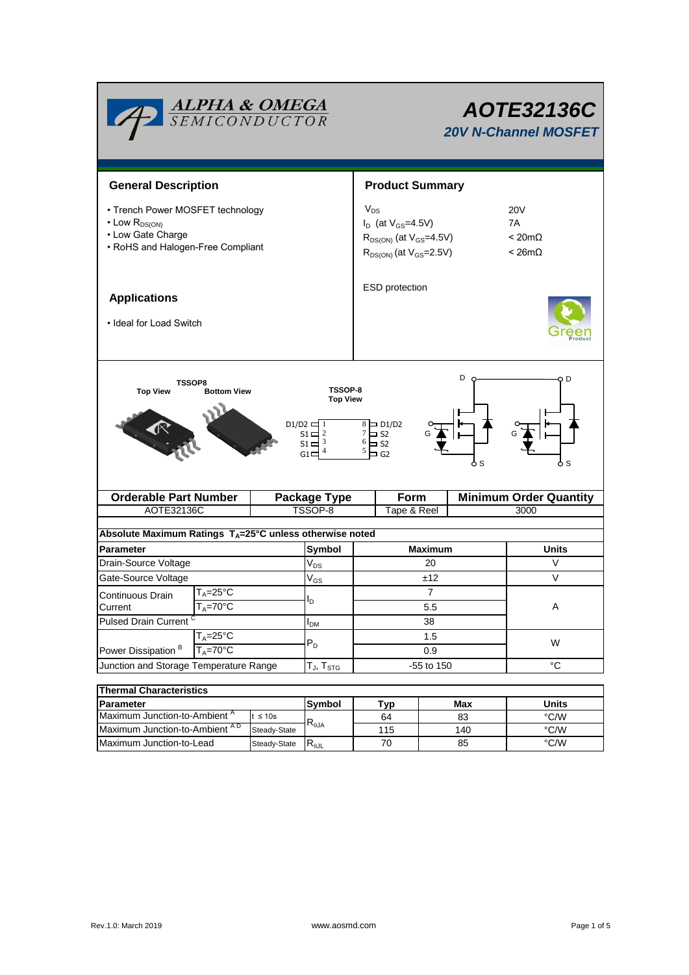| <b>ALPHA &amp; OMEGA</b><br>SEMICONDUCTOR                                                                                                                                                                                                                              |                                                          | AOTE32136C<br><b>20V N-Channel MOSFET</b>                                                                       |                     |                                                     |              |      |                               |  |  |
|------------------------------------------------------------------------------------------------------------------------------------------------------------------------------------------------------------------------------------------------------------------------|----------------------------------------------------------|-----------------------------------------------------------------------------------------------------------------|---------------------|-----------------------------------------------------|--------------|------|-------------------------------|--|--|
| <b>General Description</b>                                                                                                                                                                                                                                             |                                                          | <b>Product Summary</b>                                                                                          |                     |                                                     |              |      |                               |  |  |
| • Trench Power MOSFET technology<br>$\cdot$ Low $R_{DS(ON)}$<br>• Low Gate Charge<br>• RoHS and Halogen-Free Compliant                                                                                                                                                 |                                                          | $V_{DS}$<br>$I_D$ (at $V_{GS} = 4.5V$ )<br>$R_{DS(ON)}$ (at $V_{GS}$ =4.5V)<br>$R_{DS(ON)}$ (at $V_{GS}$ =2.5V) |                     | 20V<br>7A<br>$< 20 \text{m}\Omega$<br>$< 26m\Omega$ |              |      |                               |  |  |
| <b>Applications</b><br>• Ideal for Load Switch                                                                                                                                                                                                                         |                                                          | ESD protection                                                                                                  |                     |                                                     |              |      |                               |  |  |
| D<br>D<br><b>TSSOP8</b><br>TSSOP-8<br><b>Top View</b><br><b>Bottom View</b><br><b>Top View</b><br>$D1/D2 \rightleftharpoons 1$<br>$8 \Box$ D1/D2<br>$7 \square$ S2<br>$51 - 2$<br>6<br>$51-3$<br>$\overline{\phantom{1}}$ S2<br>5<br>$=$ G2<br>$G1 \Box$<br>6 S<br>o s |                                                          |                                                                                                                 |                     |                                                     |              |      |                               |  |  |
| <b>Orderable Part Number</b>                                                                                                                                                                                                                                           |                                                          |                                                                                                                 | <b>Package Type</b> | Form                                                |              |      | <b>Minimum Order Quantity</b> |  |  |
|                                                                                                                                                                                                                                                                        | AOTE32136C                                               |                                                                                                                 | TSSOP-8             | Tape & Reel                                         |              |      | 3000                          |  |  |
| Absolute Maximum Ratings $T_A = 25^\circ C$ unless otherwise noted                                                                                                                                                                                                     |                                                          |                                                                                                                 |                     |                                                     |              |      |                               |  |  |
|                                                                                                                                                                                                                                                                        |                                                          |                                                                                                                 |                     |                                                     |              |      | <b>Units</b>                  |  |  |
| <b>Parameter</b>                                                                                                                                                                                                                                                       | Symbol                                                   | <b>Maximum</b><br>20                                                                                            |                     |                                                     | V            |      |                               |  |  |
| Drain-Source Voltage<br>Gate-Source Voltage                                                                                                                                                                                                                            | $\mathsf{V}_{\mathsf{DS}}$<br>$\mathsf{V}_{\mathsf{GS}}$ | ±12                                                                                                             |                     |                                                     | $\vee$       |      |                               |  |  |
| $\mathsf{T}_\mathsf{A}\texttt{=}25^\circ\mathsf{C}$<br>Continuous Drain<br>$T_A = 70$ °C<br>Current                                                                                                                                                                    |                                                          |                                                                                                                 | lD.                 | 7<br>5.5                                            |              |      |                               |  |  |
| Pulsed Drain Current <sup>C</sup>                                                                                                                                                                                                                                      |                                                          |                                                                                                                 | I <sub>DM</sub>     | 38                                                  |              |      |                               |  |  |
| $T_A = 25^{\circ}$ C<br>Power Dissipation <sup>B</sup><br>$T_A = 70$ °C                                                                                                                                                                                                |                                                          |                                                                                                                 | $P_D$               | 1.5<br>0.9                                          |              |      | W                             |  |  |
| Junction and Storage Temperature Range                                                                                                                                                                                                                                 | $T_{\sf J}, T_{\sf STG}$                                 | -55 to 150                                                                                                      | $^{\circ}C$         |                                                     |              |      |                               |  |  |
|                                                                                                                                                                                                                                                                        |                                                          |                                                                                                                 |                     |                                                     |              |      |                               |  |  |
| <b>Thermal Characteristics</b><br>Parameter                                                                                                                                                                                                                            | Symbol                                                   |                                                                                                                 |                     | Max                                                 | <b>Units</b> |      |                               |  |  |
| Maximum Junction-to-Ambient A<br>$t \leq 10s$                                                                                                                                                                                                                          |                                                          |                                                                                                                 |                     | Typ<br>64                                           | 83           |      | °C/W                          |  |  |
|                                                                                                                                                                                                                                                                        | Maximum Junction-to-Ambient AD<br>Steady-State           |                                                                                                                 | $R_{\theta$ JA      | 115                                                 | 140          |      | $^{\circ}$ C/W                |  |  |
| Maximum Junction-to-Lead<br>Steady-State                                                                                                                                                                                                                               |                                                          | $R_{\theta JL}$                                                                                                 | 70                  |                                                     | 85           | °C/W |                               |  |  |

Г

 $\blacksquare$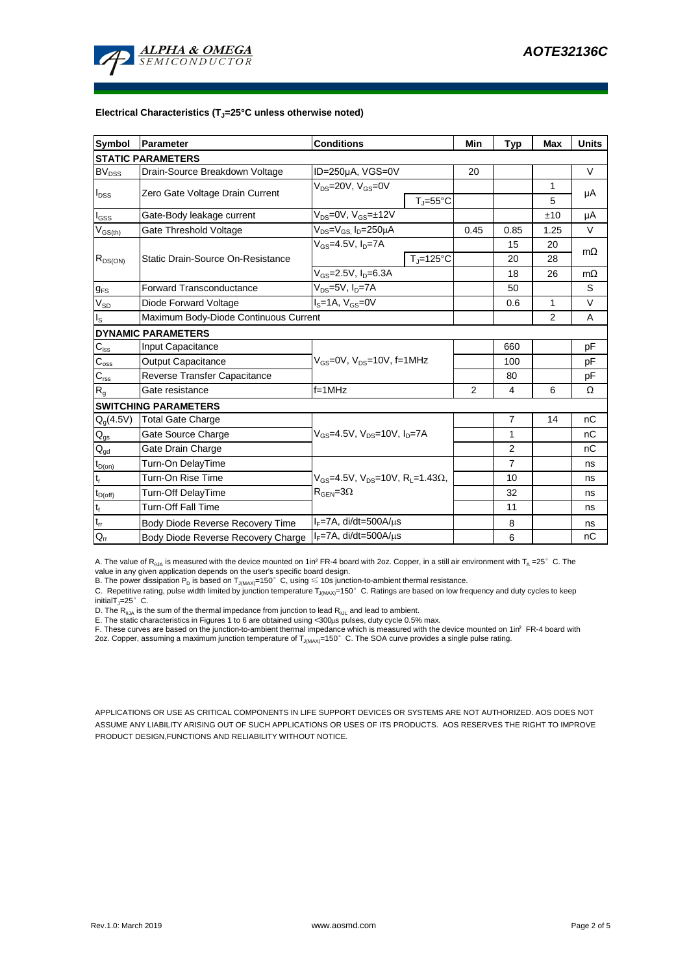

#### **Electrical Characteristics (TJ=25°C unless otherwise noted)**

| <b>Symbol</b>                 | <b>Conditions</b><br>Parameter                                                      |                                            |                     | Min            | <b>Typ</b>     | Max          | <b>Units</b> |  |  |  |  |  |
|-------------------------------|-------------------------------------------------------------------------------------|--------------------------------------------|---------------------|----------------|----------------|--------------|--------------|--|--|--|--|--|
| <b>STATIC PARAMETERS</b>      |                                                                                     |                                            |                     |                |                |              |              |  |  |  |  |  |
| <b>BV<sub>DSS</sub></b>       | Drain-Source Breakdown Voltage                                                      | ID=250µA, VGS=0V                           |                     |                |                |              | V            |  |  |  |  |  |
| $I_{\text{DSS}}$              |                                                                                     | $V_{DS}$ =20V, $V_{GS}$ =0V                |                     |                |                | $\mathbf{1}$ |              |  |  |  |  |  |
|                               | Zero Gate Voltage Drain Current                                                     |                                            | $T_i = 55^{\circ}C$ |                |                | 5            | μA           |  |  |  |  |  |
| $I_{GSS}$                     | Gate-Body leakage current                                                           | $V_{DS} = 0V$ , $V_{GS} = \pm 12V$         |                     |                |                | ±10          | μA           |  |  |  |  |  |
| $\rm V_{GS(th)}$              | Gate Threshold Voltage                                                              | $V_{DS} = V_{GS}$ , $I_D = 250 \mu A$      | 0.45                | 0.85           | 1.25           | V            |              |  |  |  |  |  |
| $R_{DS(ON)}$                  |                                                                                     | $V_{GS} = 4.5V, I_D = 7A$                  |                     |                | 15             | 20           | $m\Omega$    |  |  |  |  |  |
|                               | Static Drain-Source On-Resistance                                                   |                                            | $T_J = 125$ °C      |                | 20             | 28           |              |  |  |  |  |  |
|                               |                                                                                     | $V_{GS}$ =2.5V, $I_{D}$ =6.3A              |                     |                | 18             | 26           | $m\Omega$    |  |  |  |  |  |
| $g_{FS}$                      | <b>Forward Transconductance</b>                                                     | $V_{DS} = 5V$ , $I_D = 7A$                 |                     |                | 50             |              | S            |  |  |  |  |  |
| $V_{SD}$                      | Diode Forward Voltage                                                               | $IS=1A, VGS=0V$                            |                     |                | 0.6            | 1            | V            |  |  |  |  |  |
| $I_{\rm S}$                   | Maximum Body-Diode Continuous Current                                               |                                            |                     | 2              | A              |              |              |  |  |  |  |  |
|                               | <b>DYNAMIC PARAMETERS</b>                                                           |                                            |                     |                |                |              |              |  |  |  |  |  |
| $C_{\hbox{\scriptsize{iss}}}$ | Input Capacitance                                                                   |                                            |                     |                | 660            |              | рF           |  |  |  |  |  |
| $C_{\rm oss}$                 | Output Capacitance                                                                  | $V_{GS}$ =0V, $V_{DS}$ =10V, f=1MHz        |                     |                | 100            |              | рF           |  |  |  |  |  |
| $C_{\text{rss}}$              | Reverse Transfer Capacitance                                                        |                                            |                     | 80             |                | рF           |              |  |  |  |  |  |
| $R_{g}$                       | Gate resistance                                                                     | $f = 1$ MHz                                |                     | $\overline{2}$ | 4              | 6            | Ω            |  |  |  |  |  |
| <b>SWITCHING PARAMETERS</b>   |                                                                                     |                                            |                     |                |                |              |              |  |  |  |  |  |
| $Q_g(4.5V)$                   | <b>Total Gate Charge</b>                                                            | $V_{GS}$ =4.5V, $V_{DS}$ =10V, $I_{D}$ =7A |                     |                | $\overline{7}$ | 14           | nC           |  |  |  |  |  |
| $\mathsf{Q}_{\mathsf{gs}}$    | Gate Source Charge                                                                  |                                            |                     |                | 1              |              | nC           |  |  |  |  |  |
| $Q_{gd}$                      | Gate Drain Charge                                                                   |                                            |                     | 2              |                | nC           |              |  |  |  |  |  |
| $t_{D(0n)}$                   | Turn-On DelayTime                                                                   |                                            |                     |                | $\overline{7}$ |              | ns           |  |  |  |  |  |
| $\mathsf{t}_\mathsf{r}$       | Turn-On Rise Time<br>$V_{GS}$ =4.5V, $V_{DS}$ =10V, R <sub>1</sub> =1.43 $\Omega$ , |                                            |                     |                | 10             |              | ns           |  |  |  |  |  |
| $t_{D(off)}$                  | Turn-Off DelayTime                                                                  | $R_{\text{GEN}} = 3\Omega$                 |                     | 32             |                | ns           |              |  |  |  |  |  |
| $t_{\rm f}$                   | <b>Turn-Off Fall Time</b>                                                           |                                            |                     | 11             |                | ns           |              |  |  |  |  |  |
| $t_{rr}$                      | $I_F = 7A$ , di/dt=500A/ $\mu$ s<br>Body Diode Reverse Recovery Time                |                                            |                     |                | 8              |              | ns           |  |  |  |  |  |
| $Q_{rr}$                      | $I_F = 7A$ , di/dt=500A/ $\mu$ s<br>Body Diode Reverse Recovery Charge              |                                            |                     |                | 6              |              | nC           |  |  |  |  |  |

A. The value of R<sub>0JA</sub> is measured with the device mounted on 1in<sup>2</sup> FR-4 board with 2oz. Copper, in a still air environment with T<sub>A</sub> =25° C. The value in any given application depends on the user's specific board design.

B. The power dissipation  $P_D$  is based on  $T_{J(MAX)}=150^\circ$  C, using  $\leq 10$ s junction-to-ambient thermal resistance.

C. Repetitive rating, pulse width limited by junction temperature  $T_{JMAX}=150^\circ$  C. Ratings are based on low frequency and duty cycles to keep initialT<sub>J</sub>=25° C.

D. The  $R_{qJA}$  is the sum of the thermal impedance from junction to lead  $R_{qJL}$  and lead to ambient.

E. The static characteristics in Figures 1 to 6 are obtained using <300µs pulses, duty cycle 0.5% max.<br>F. These curves are based on the junction-to-ambient thermal impedance which is measured with the device mounted on 1in 2oz. Copper, assuming a maximum junction temperature of  $T_{J(MAX)}$ =150°C. The SOA curve provides a single pulse rating.

APPLICATIONS OR USE AS CRITICAL COMPONENTS IN LIFE SUPPORT DEVICES OR SYSTEMS ARE NOT AUTHORIZED. AOS DOES NOT ASSUME ANY LIABILITY ARISING OUT OF SUCH APPLICATIONS OR USES OF ITS PRODUCTS. AOS RESERVES THE RIGHT TO IMPROVE PRODUCT DESIGN,FUNCTIONS AND RELIABILITY WITHOUT NOTICE.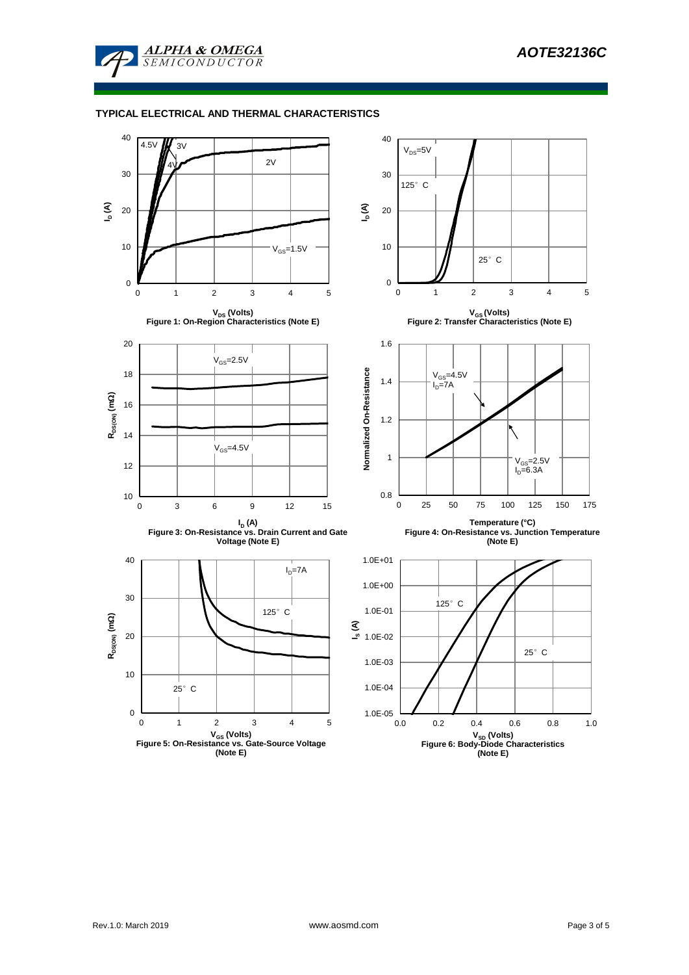

### **TYPICAL ELECTRICAL AND THERMAL CHARACTERISTICS**

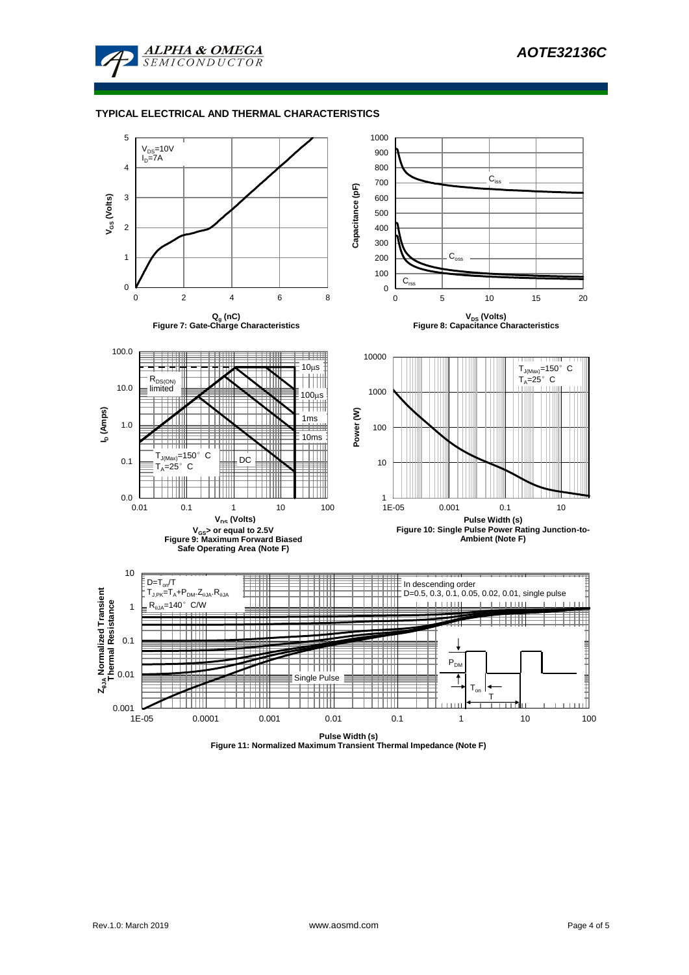

#### **TYPICAL ELECTRICAL AND THERMAL CHARACTERISTICS**